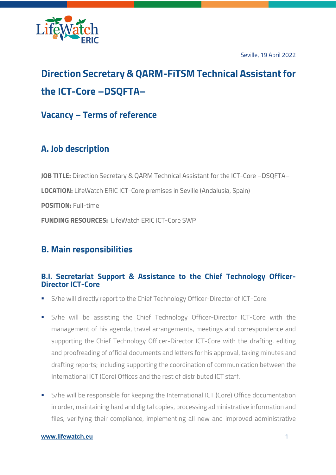

Seville, 19 April 2022

# **Direction Secretary & QARM-FiTSM Technical Assistant for the ICT-Core –DSQFTA–**

**Vacancy – Terms of reference**

## **A. Job description**

**JOB TITLE:** Direction Secretary & QARM Technical Assistant for the ICT-Core –DSQFTA– **LOCATION:** LifeWatch ERIC ICT-Core premises in Seville (Andalusia, Spain) **POSITION:** Full-time **FUNDING RESOURCES:** LifeWatch ERIC ICT-Core SWP

### **B. Main responsibilities**

### **B.I. Secretariat Support & Assistance to the Chief Technology Officer-Director ICT-Core**

- S/he will directly report to the Chief Technology Officer-Director of ICT-Core.
- S/he will be assisting the Chief Technology Officer-Director ICT-Core with the management of his agenda, travel arrangements, meetings and correspondence and supporting the Chief Technology Officer-Director ICT-Core with the drafting, editing and proofreading of official documents and letters for his approval, taking minutes and drafting reports; including supporting the coordination of communication between the International ICT (Core) Offices and the rest of distributed ICT staff.
- S/he will be responsible for keeping the International ICT (Core) Office documentation in order, maintaining hard and digital copies, processing administrative information and files, verifying their compliance, implementing all new and improved administrative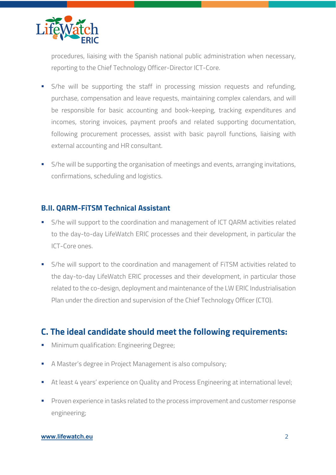

procedures, liaising with the Spanish national public administration when necessary, reporting to the Chief Technology Officer-Director ICT-Core.

- § S/he will be supporting the staff in processing mission requests and refunding, purchase, compensation and leave requests, maintaining complex calendars, and will be responsible for basic accounting and book-keeping, tracking expenditures and incomes, storing invoices, payment proofs and related supporting documentation, following procurement processes, assist with basic payroll functions, liaising with external accounting and HR consultant.
- S/he will be supporting the organisation of meetings and events, arranging invitations, confirmations, scheduling and logistics.

#### **B.II. QARM-FiTSM Technical Assistant**

- S/he will support to the coordination and management of ICT QARM activities related to the day-to-day LifeWatch ERIC processes and their development, in particular the ICT-Core ones.
- S/he will support to the coordination and management of FiTSM activities related to the day-to-day LifeWatch ERIC processes and their development, in particular those related to the co-design, deployment and maintenance of the LW ERIC Industrialisation Plan under the direction and supervision of the Chief Technology Officer (CTO).

### **C. The ideal candidate should meet the following requirements:**

- **Minimum qualification: Engineering Degree;**
- A Master's degree in Project Management is also compulsory;
- At least 4 years' experience on Quality and Process Engineering at international level;
- § Proven experience in tasks related to the process improvement and customer response engineering;

#### **www.lifewatch.eu** 2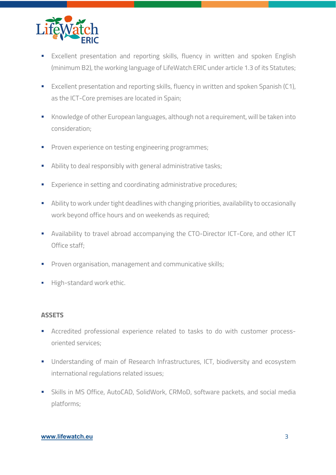

- **Excellent presentation and reporting skills, fluency in written and spoken English** (minimum B2), the working language of LifeWatch ERIC under article 1.3 of its Statutes;
- Excellent presentation and reporting skills, fluency in written and spoken Spanish (C1), as the ICT-Core premises are located in Spain;
- Knowledge of other European languages, although not a requirement, will be taken into consideration;
- **•** Proven experience on testing engineering programmes;
- Ability to deal responsibly with general administrative tasks;
- Experience in setting and coordinating administrative procedures;
- **Ability to work under tight deadlines with changing priorities, availability to occasionally** work beyond office hours and on weekends as required;
- § Availability to travel abroad accompanying the CTO-Director ICT-Core, and other ICT Office staff;
- § Proven organisation, management and communicative skills;
- **High-standard work ethic.**

#### **ASSETS**

- **•** Accredited professional experience related to tasks to do with customer processoriented services;
- Understanding of main of Research Infrastructures, ICT, biodiversity and ecosystem international regulations related issues;
- Skills in MS Office, AutoCAD, SolidWork, CRMoD, software packets, and social media platforms;